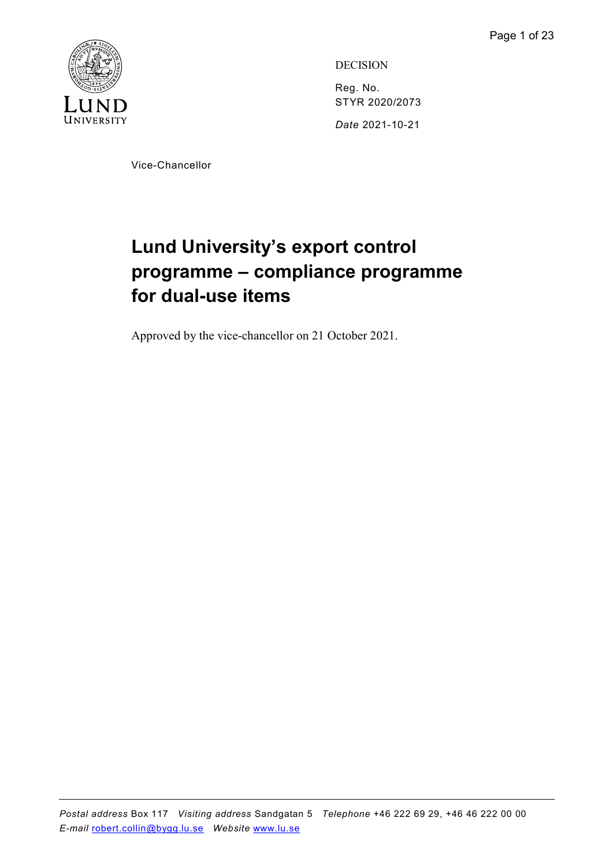

DECISION Reg. No. STYR 2020/2073 Date 2021-10-21

Vice-Chancellor

# Lund University's export control programme – compliance programme for dual-use items

Approved by the vice-chancellor on 21 October 2021.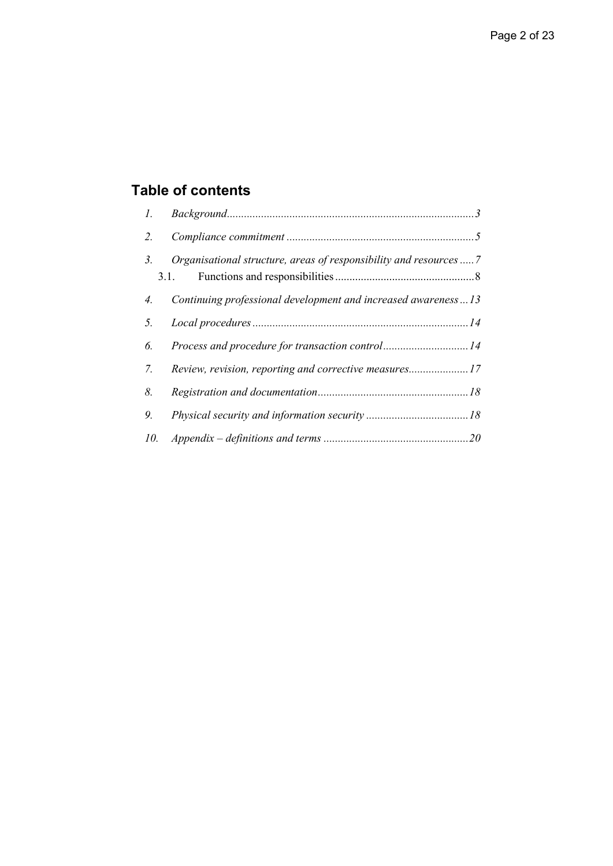## Table of contents

| $l$ . |                                                                            |  |
|-------|----------------------------------------------------------------------------|--|
|       | 2.                                                                         |  |
| 3.    | Organisational structure, areas of responsibility and resources  7<br>3.1. |  |
| 4.    | Continuing professional development and increased awareness13              |  |
| 5.    |                                                                            |  |
| 6.    | Process and procedure for transaction control14                            |  |
| 7.    | Review, revision, reporting and corrective measures17                      |  |
| 8.    |                                                                            |  |
| 9.    |                                                                            |  |
| 10.   |                                                                            |  |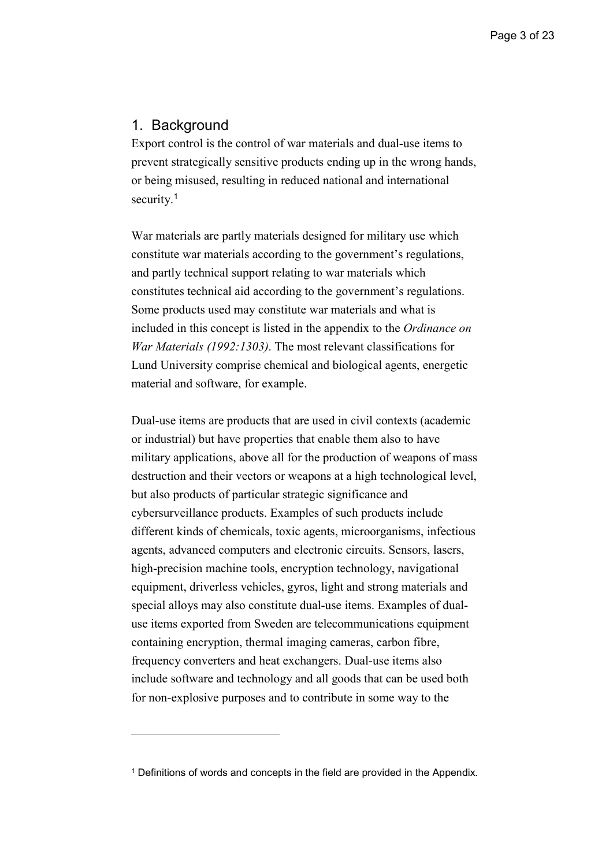## 1. Background

-

Export control is the control of war materials and dual-use items to prevent strategically sensitive products ending up in the wrong hands, or being misused, resulting in reduced national and international security.<sup>1</sup>

War materials are partly materials designed for military use which constitute war materials according to the government's regulations, and partly technical support relating to war materials which constitutes technical aid according to the government's regulations. Some products used may constitute war materials and what is included in this concept is listed in the appendix to the Ordinance on War Materials (1992:1303). The most relevant classifications for Lund University comprise chemical and biological agents, energetic material and software, for example.

Dual-use items are products that are used in civil contexts (academic or industrial) but have properties that enable them also to have military applications, above all for the production of weapons of mass destruction and their vectors or weapons at a high technological level, but also products of particular strategic significance and cybersurveillance products. Examples of such products include different kinds of chemicals, toxic agents, microorganisms, infectious agents, advanced computers and electronic circuits. Sensors, lasers, high-precision machine tools, encryption technology, navigational equipment, driverless vehicles, gyros, light and strong materials and special alloys may also constitute dual-use items. Examples of dualuse items exported from Sweden are telecommunications equipment containing encryption, thermal imaging cameras, carbon fibre, frequency converters and heat exchangers. Dual-use items also include software and technology and all goods that can be used both for non-explosive purposes and to contribute in some way to the

<sup>&</sup>lt;sup>1</sup> Definitions of words and concepts in the field are provided in the Appendix.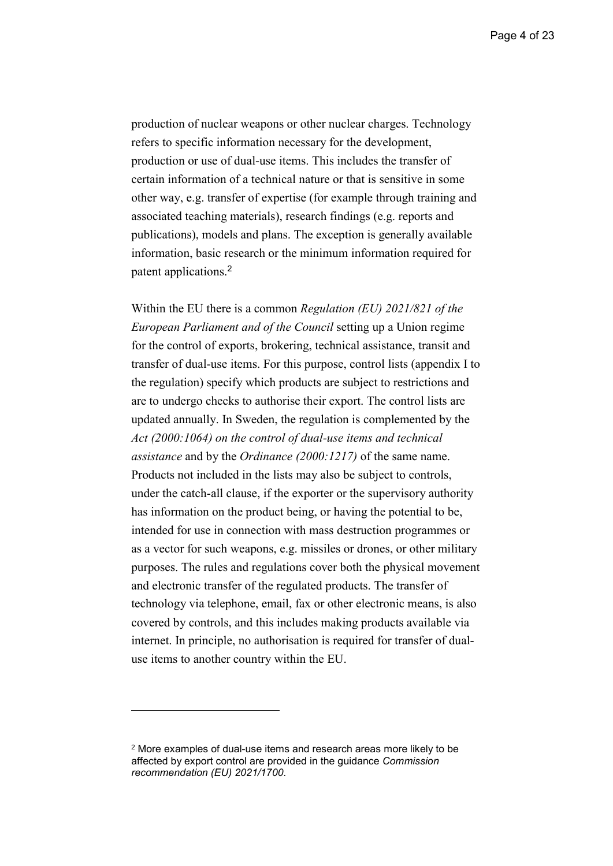Page 4 of 23

production of nuclear weapons or other nuclear charges. Technology refers to specific information necessary for the development, production or use of dual-use items. This includes the transfer of certain information of a technical nature or that is sensitive in some other way, e.g. transfer of expertise (for example through training and associated teaching materials), research findings (e.g. reports and publications), models and plans. The exception is generally available information, basic research or the minimum information required for patent applications.<sup>2</sup>

Within the EU there is a common Regulation (EU) 2021/821 of the European Parliament and of the Council setting up a Union regime for the control of exports, brokering, technical assistance, transit and transfer of dual-use items. For this purpose, control lists (appendix I to the regulation) specify which products are subject to restrictions and are to undergo checks to authorise their export. The control lists are updated annually. In Sweden, the regulation is complemented by the Act (2000:1064) on the control of dual-use items and technical assistance and by the Ordinance (2000:1217) of the same name. Products not included in the lists may also be subject to controls, under the catch-all clause, if the exporter or the supervisory authority has information on the product being, or having the potential to be, intended for use in connection with mass destruction programmes or as a vector for such weapons, e.g. missiles or drones, or other military purposes. The rules and regulations cover both the physical movement and electronic transfer of the regulated products. The transfer of technology via telephone, email, fax or other electronic means, is also covered by controls, and this includes making products available via internet. In principle, no authorisation is required for transfer of dualuse items to another country within the EU.

-

<sup>2</sup> More examples of dual-use items and research areas more likely to be affected by export control are provided in the guidance Commission recommendation (EU) 2021/1700.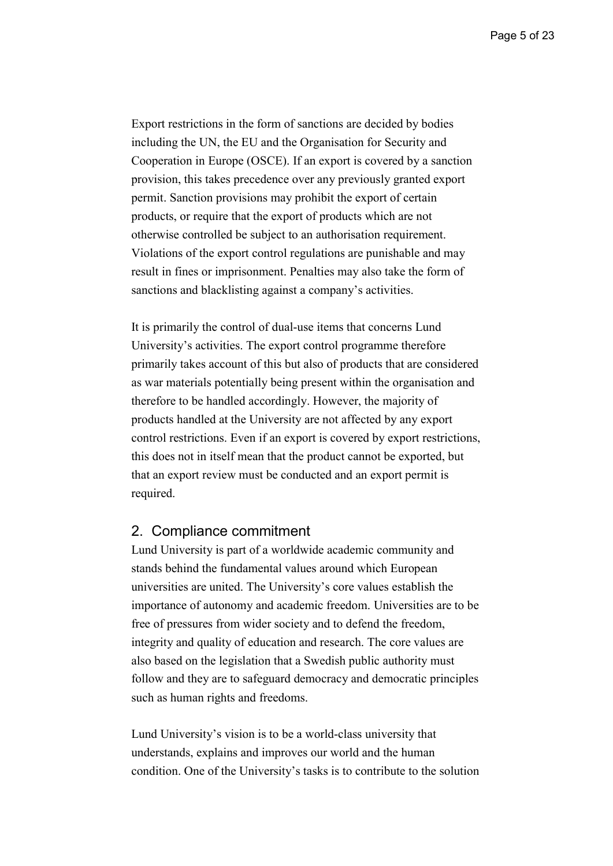Export restrictions in the form of sanctions are decided by bodies including the UN, the EU and the Organisation for Security and Cooperation in Europe (OSCE). If an export is covered by a sanction provision, this takes precedence over any previously granted export permit. Sanction provisions may prohibit the export of certain products, or require that the export of products which are not otherwise controlled be subject to an authorisation requirement. Violations of the export control regulations are punishable and may result in fines or imprisonment. Penalties may also take the form of sanctions and blacklisting against a company's activities.

It is primarily the control of dual-use items that concerns Lund University's activities. The export control programme therefore primarily takes account of this but also of products that are considered as war materials potentially being present within the organisation and therefore to be handled accordingly. However, the majority of products handled at the University are not affected by any export control restrictions. Even if an export is covered by export restrictions, this does not in itself mean that the product cannot be exported, but that an export review must be conducted and an export permit is required.

#### 2. Compliance commitment

Lund University is part of a worldwide academic community and stands behind the fundamental values around which European universities are united. The University's core values establish the importance of autonomy and academic freedom. Universities are to be free of pressures from wider society and to defend the freedom, integrity and quality of education and research. The core values are also based on the legislation that a Swedish public authority must follow and they are to safeguard democracy and democratic principles such as human rights and freedoms.

Lund University's vision is to be a world-class university that understands, explains and improves our world and the human condition. One of the University's tasks is to contribute to the solution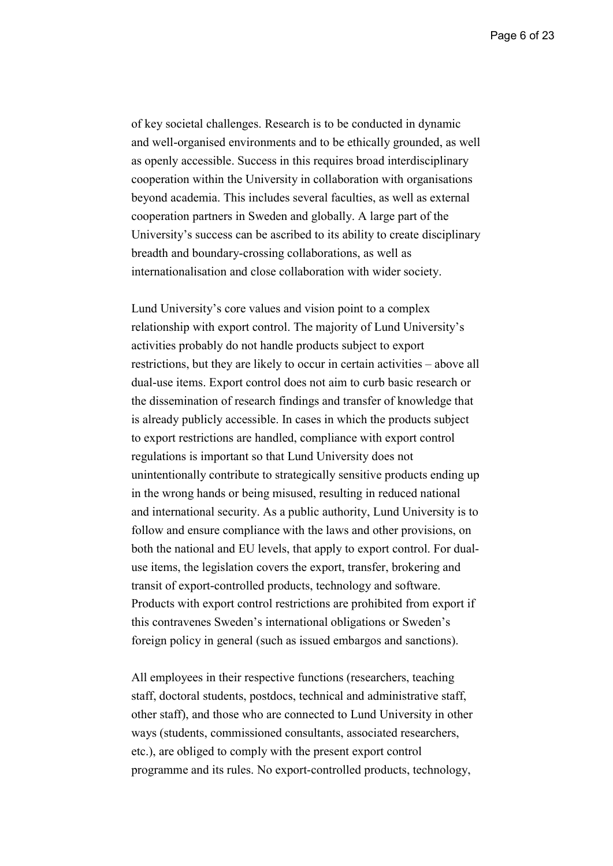of key societal challenges. Research is to be conducted in dynamic and well-organised environments and to be ethically grounded, as well as openly accessible. Success in this requires broad interdisciplinary cooperation within the University in collaboration with organisations beyond academia. This includes several faculties, as well as external cooperation partners in Sweden and globally. A large part of the University's success can be ascribed to its ability to create disciplinary breadth and boundary-crossing collaborations, as well as internationalisation and close collaboration with wider society.

Lund University's core values and vision point to a complex relationship with export control. The majority of Lund University's activities probably do not handle products subject to export restrictions, but they are likely to occur in certain activities – above all dual-use items. Export control does not aim to curb basic research or the dissemination of research findings and transfer of knowledge that is already publicly accessible. In cases in which the products subject to export restrictions are handled, compliance with export control regulations is important so that Lund University does not unintentionally contribute to strategically sensitive products ending up in the wrong hands or being misused, resulting in reduced national and international security. As a public authority, Lund University is to follow and ensure compliance with the laws and other provisions, on both the national and EU levels, that apply to export control. For dualuse items, the legislation covers the export, transfer, brokering and transit of export-controlled products, technology and software. Products with export control restrictions are prohibited from export if this contravenes Sweden's international obligations or Sweden's foreign policy in general (such as issued embargos and sanctions).

All employees in their respective functions (researchers, teaching staff, doctoral students, postdocs, technical and administrative staff, other staff), and those who are connected to Lund University in other ways (students, commissioned consultants, associated researchers, etc.), are obliged to comply with the present export control programme and its rules. No export-controlled products, technology,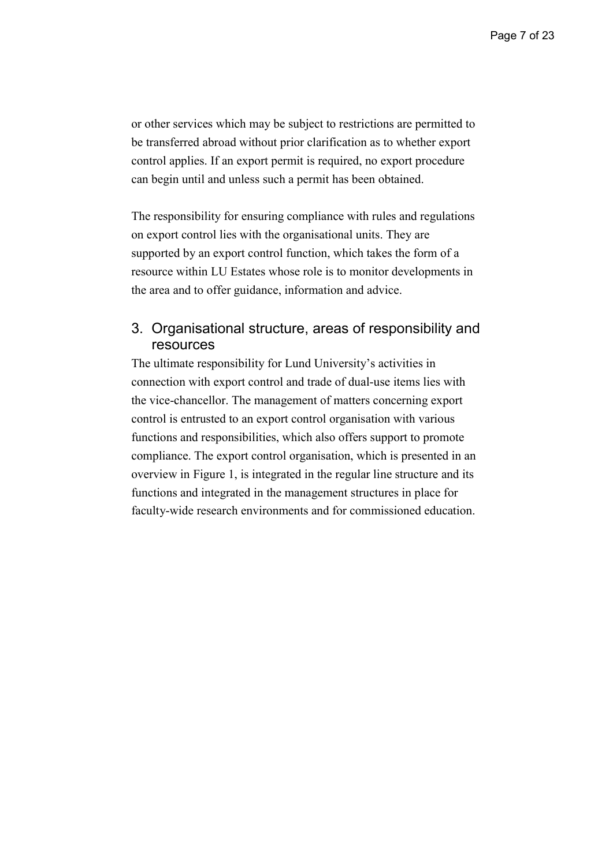or other services which may be subject to restrictions are permitted to be transferred abroad without prior clarification as to whether export control applies. If an export permit is required, no export procedure can begin until and unless such a permit has been obtained.

The responsibility for ensuring compliance with rules and regulations on export control lies with the organisational units. They are supported by an export control function, which takes the form of a resource within LU Estates whose role is to monitor developments in the area and to offer guidance, information and advice.

## 3. Organisational structure, areas of responsibility and resources

The ultimate responsibility for Lund University's activities in connection with export control and trade of dual-use items lies with the vice-chancellor. The management of matters concerning export control is entrusted to an export control organisation with various functions and responsibilities, which also offers support to promote compliance. The export control organisation, which is presented in an overview in Figure 1, is integrated in the regular line structure and its functions and integrated in the management structures in place for faculty-wide research environments and for commissioned education.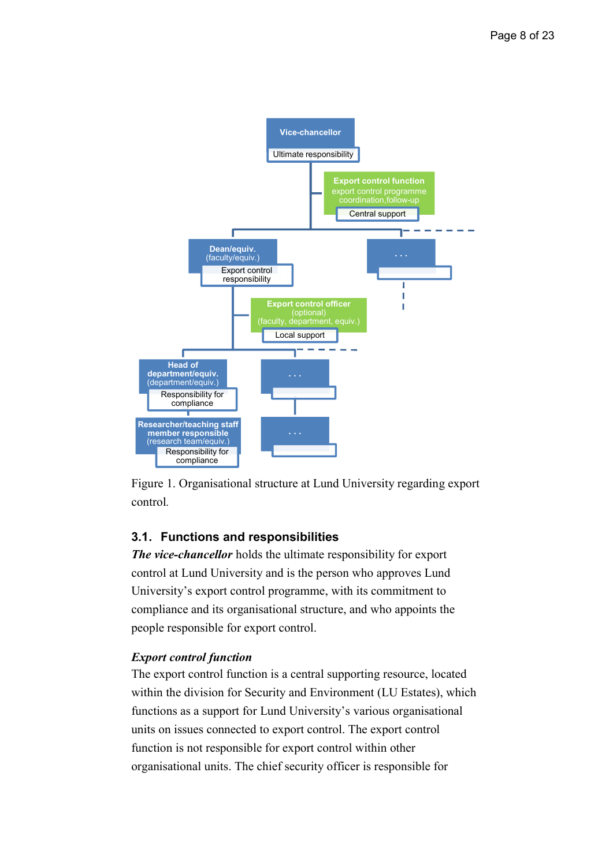

Figure 1. Organisational structure at Lund University regarding export control.

## 3.1. Functions and responsibilities

The vice-chancellor holds the ultimate responsibility for export control at Lund University and is the person who approves Lund University's export control programme, with its commitment to compliance and its organisational structure, and who appoints the people responsible for export control.

## Export control function

The export control function is a central supporting resource, located within the division for Security and Environment (LU Estates), which functions as a support for Lund University's various organisational units on issues connected to export control. The export control function is not responsible for export control within other organisational units. The chief security officer is responsible for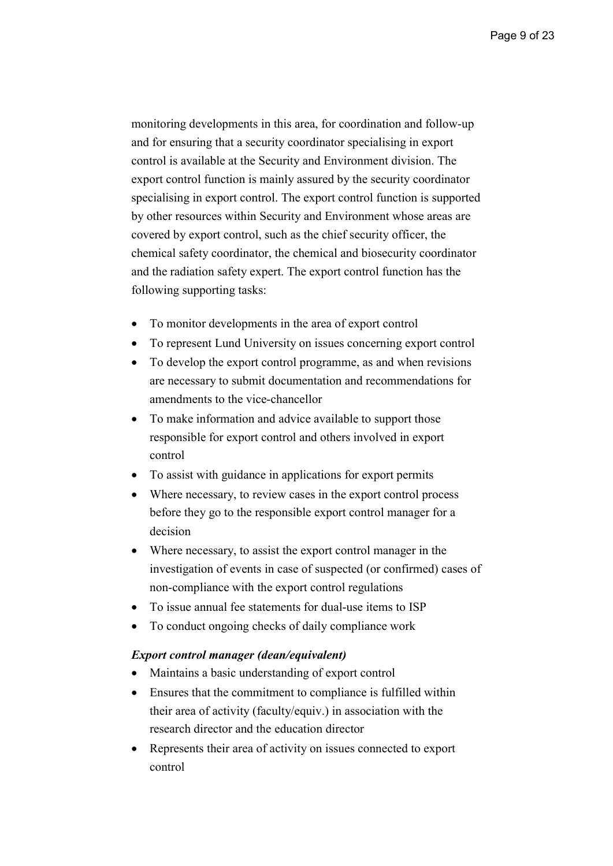monitoring developments in this area, for coordination and follow-up and for ensuring that a security coordinator specialising in export control is available at the Security and Environment division. The export control function is mainly assured by the security coordinator specialising in export control. The export control function is supported by other resources within Security and Environment whose areas are covered by export control, such as the chief security officer, the chemical safety coordinator, the chemical and biosecurity coordinator and the radiation safety expert. The export control function has the following supporting tasks:

- To monitor developments in the area of export control
- To represent Lund University on issues concerning export control
- To develop the export control programme, as and when revisions are necessary to submit documentation and recommendations for amendments to the vice-chancellor
- To make information and advice available to support those responsible for export control and others involved in export control
- To assist with guidance in applications for export permits
- Where necessary, to review cases in the export control process before they go to the responsible export control manager for a decision
- Where necessary, to assist the export control manager in the investigation of events in case of suspected (or confirmed) cases of non-compliance with the export control regulations
- To issue annual fee statements for dual-use items to ISP
- To conduct ongoing checks of daily compliance work

#### Export control manager (dean/equivalent)

- Maintains a basic understanding of export control
- Ensures that the commitment to compliance is fulfilled within their area of activity (faculty/equiv.) in association with the research director and the education director
- Represents their area of activity on issues connected to export control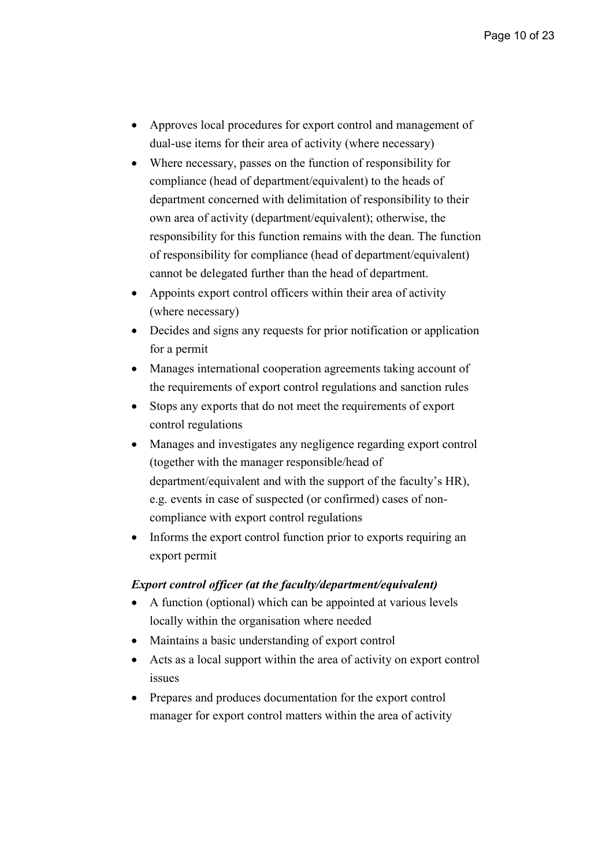- Approves local procedures for export control and management of dual-use items for their area of activity (where necessary)
- Where necessary, passes on the function of responsibility for compliance (head of department/equivalent) to the heads of department concerned with delimitation of responsibility to their own area of activity (department/equivalent); otherwise, the responsibility for this function remains with the dean. The function of responsibility for compliance (head of department/equivalent) cannot be delegated further than the head of department.
- Appoints export control officers within their area of activity (where necessary)
- Decides and signs any requests for prior notification or application for a permit
- Manages international cooperation agreements taking account of the requirements of export control regulations and sanction rules
- Stops any exports that do not meet the requirements of export control regulations
- Manages and investigates any negligence regarding export control (together with the manager responsible/head of department/equivalent and with the support of the faculty's HR), e.g. events in case of suspected (or confirmed) cases of noncompliance with export control regulations
- Informs the export control function prior to exports requiring an export permit

#### Export control officer (at the faculty/department/equivalent)

- A function (optional) which can be appointed at various levels locally within the organisation where needed
- Maintains a basic understanding of export control
- Acts as a local support within the area of activity on export control issues
- Prepares and produces documentation for the export control manager for export control matters within the area of activity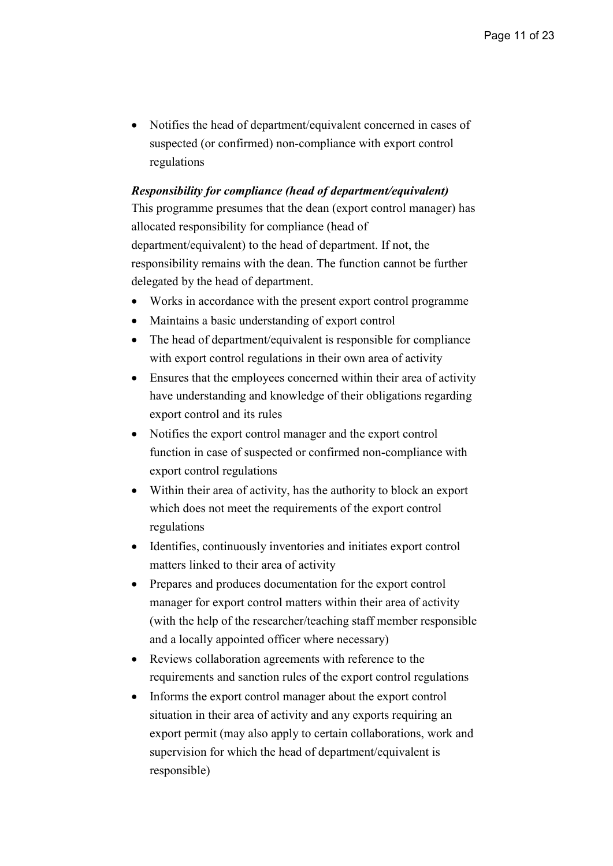• Notifies the head of department/equivalent concerned in cases of suspected (or confirmed) non-compliance with export control regulations

#### Responsibility for compliance (head of department/equivalent)

This programme presumes that the dean (export control manager) has allocated responsibility for compliance (head of department/equivalent) to the head of department. If not, the responsibility remains with the dean. The function cannot be further delegated by the head of department.

- Works in accordance with the present export control programme
- Maintains a basic understanding of export control
- The head of department/equivalent is responsible for compliance with export control regulations in their own area of activity
- Ensures that the employees concerned within their area of activity have understanding and knowledge of their obligations regarding export control and its rules
- Notifies the export control manager and the export control function in case of suspected or confirmed non-compliance with export control regulations
- Within their area of activity, has the authority to block an export which does not meet the requirements of the export control regulations
- Identifies, continuously inventories and initiates export control matters linked to their area of activity
- Prepares and produces documentation for the export control manager for export control matters within their area of activity (with the help of the researcher/teaching staff member responsible and a locally appointed officer where necessary)
- Reviews collaboration agreements with reference to the requirements and sanction rules of the export control regulations
- Informs the export control manager about the export control situation in their area of activity and any exports requiring an export permit (may also apply to certain collaborations, work and supervision for which the head of department/equivalent is responsible)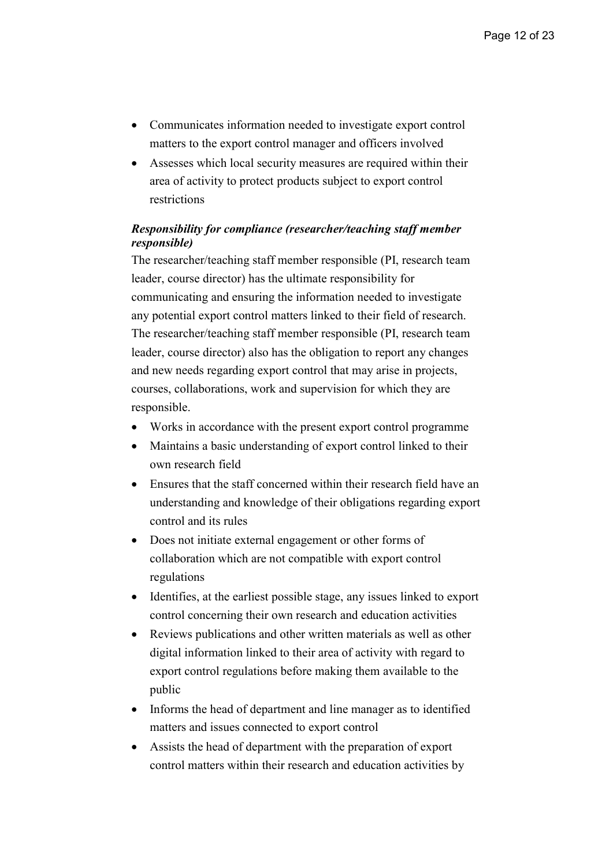- Communicates information needed to investigate export control matters to the export control manager and officers involved
- Assesses which local security measures are required within their area of activity to protect products subject to export control restrictions

#### Responsibility for compliance (researcher/teaching staff member responsible)

The researcher/teaching staff member responsible (PI, research team leader, course director) has the ultimate responsibility for communicating and ensuring the information needed to investigate any potential export control matters linked to their field of research. The researcher/teaching staff member responsible (PI, research team leader, course director) also has the obligation to report any changes and new needs regarding export control that may arise in projects, courses, collaborations, work and supervision for which they are responsible.

- Works in accordance with the present export control programme
- Maintains a basic understanding of export control linked to their own research field
- Ensures that the staff concerned within their research field have an understanding and knowledge of their obligations regarding export control and its rules
- Does not initiate external engagement or other forms of collaboration which are not compatible with export control regulations
- Identifies, at the earliest possible stage, any issues linked to export control concerning their own research and education activities
- Reviews publications and other written materials as well as other digital information linked to their area of activity with regard to export control regulations before making them available to the public
- Informs the head of department and line manager as to identified matters and issues connected to export control
- Assists the head of department with the preparation of export control matters within their research and education activities by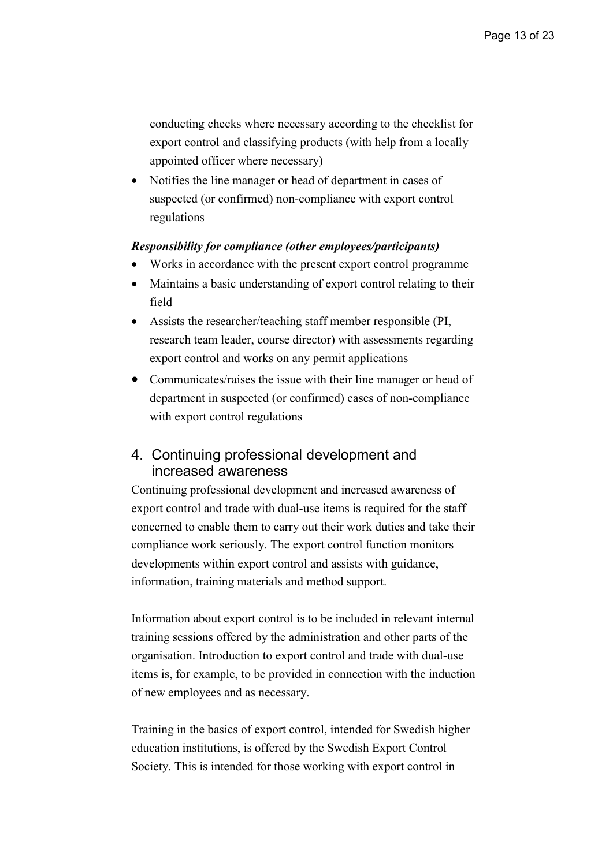conducting checks where necessary according to the checklist for export control and classifying products (with help from a locally appointed officer where necessary)

• Notifies the line manager or head of department in cases of suspected (or confirmed) non-compliance with export control regulations

#### Responsibility for compliance (other employees/participants)

- Works in accordance with the present export control programme
- Maintains a basic understanding of export control relating to their field
- Assists the researcher/teaching staff member responsible (PI, research team leader, course director) with assessments regarding export control and works on any permit applications
- Communicates/raises the issue with their line manager or head of department in suspected (or confirmed) cases of non-compliance with export control regulations

## 4. Continuing professional development and increased awareness

Continuing professional development and increased awareness of export control and trade with dual-use items is required for the staff concerned to enable them to carry out their work duties and take their compliance work seriously. The export control function monitors developments within export control and assists with guidance, information, training materials and method support.

Information about export control is to be included in relevant internal training sessions offered by the administration and other parts of the organisation. Introduction to export control and trade with dual-use items is, for example, to be provided in connection with the induction of new employees and as necessary.

Training in the basics of export control, intended for Swedish higher education institutions, is offered by the Swedish Export Control Society. This is intended for those working with export control in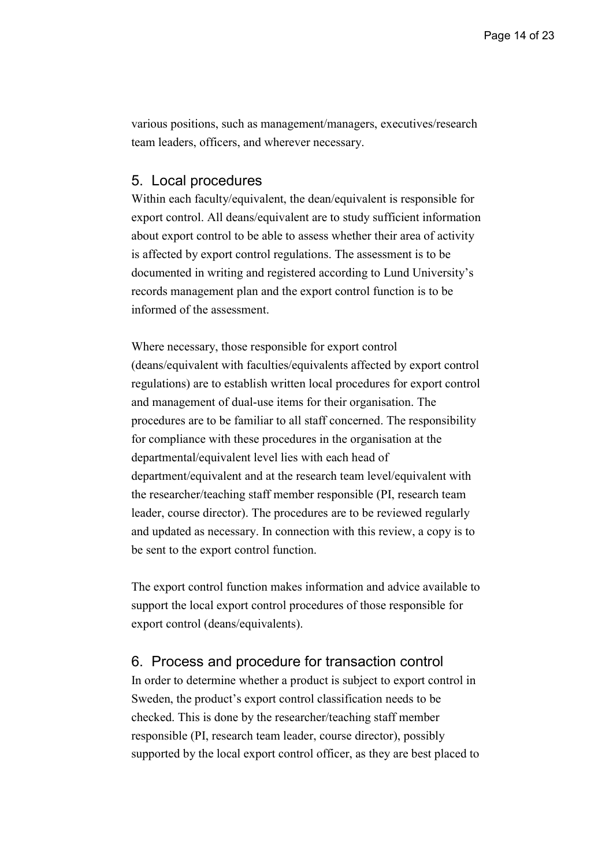various positions, such as management/managers, executives/research team leaders, officers, and wherever necessary.

#### 5. Local procedures

Within each faculty/equivalent, the dean/equivalent is responsible for export control. All deans/equivalent are to study sufficient information about export control to be able to assess whether their area of activity is affected by export control regulations. The assessment is to be documented in writing and registered according to Lund University's records management plan and the export control function is to be informed of the assessment.

Where necessary, those responsible for export control (deans/equivalent with faculties/equivalents affected by export control regulations) are to establish written local procedures for export control and management of dual-use items for their organisation. The procedures are to be familiar to all staff concerned. The responsibility for compliance with these procedures in the organisation at the departmental/equivalent level lies with each head of department/equivalent and at the research team level/equivalent with the researcher/teaching staff member responsible (PI, research team leader, course director). The procedures are to be reviewed regularly and updated as necessary. In connection with this review, a copy is to be sent to the export control function.

The export control function makes information and advice available to support the local export control procedures of those responsible for export control (deans/equivalents).

## 6. Process and procedure for transaction control

In order to determine whether a product is subject to export control in Sweden, the product's export control classification needs to be checked. This is done by the researcher/teaching staff member responsible (PI, research team leader, course director), possibly supported by the local export control officer, as they are best placed to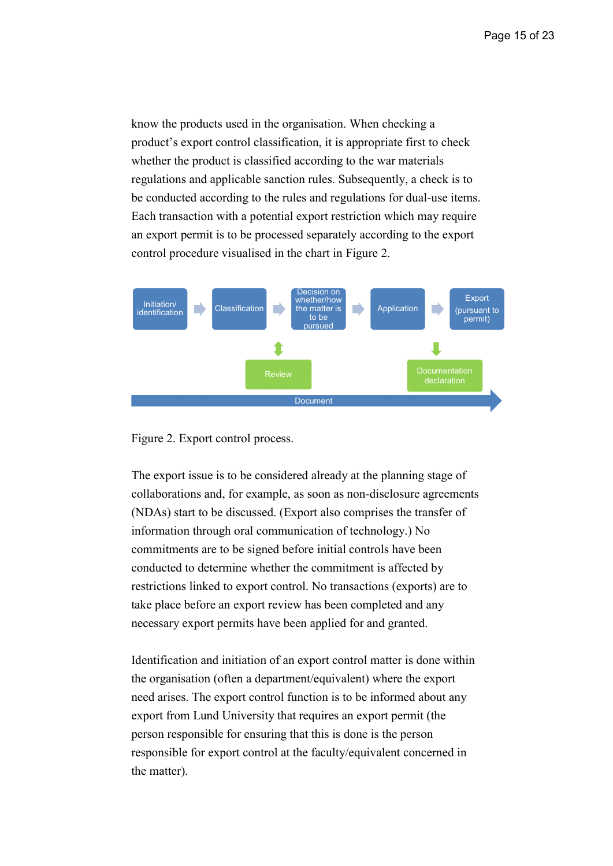know the products used in the organisation. When checking a product's export control classification, it is appropriate first to check whether the product is classified according to the war materials regulations and applicable sanction rules. Subsequently, a check is to be conducted according to the rules and regulations for dual-use items. Each transaction with a potential export restriction which may require an export permit is to be processed separately according to the export control procedure visualised in the chart in Figure 2.





The export issue is to be considered already at the planning stage of collaborations and, for example, as soon as non-disclosure agreements (NDAs) start to be discussed. (Export also comprises the transfer of information through oral communication of technology.) No commitments are to be signed before initial controls have been conducted to determine whether the commitment is affected by restrictions linked to export control. No transactions (exports) are to take place before an export review has been completed and any necessary export permits have been applied for and granted.

Identification and initiation of an export control matter is done within the organisation (often a department/equivalent) where the export need arises. The export control function is to be informed about any export from Lund University that requires an export permit (the person responsible for ensuring that this is done is the person responsible for export control at the faculty/equivalent concerned in the matter).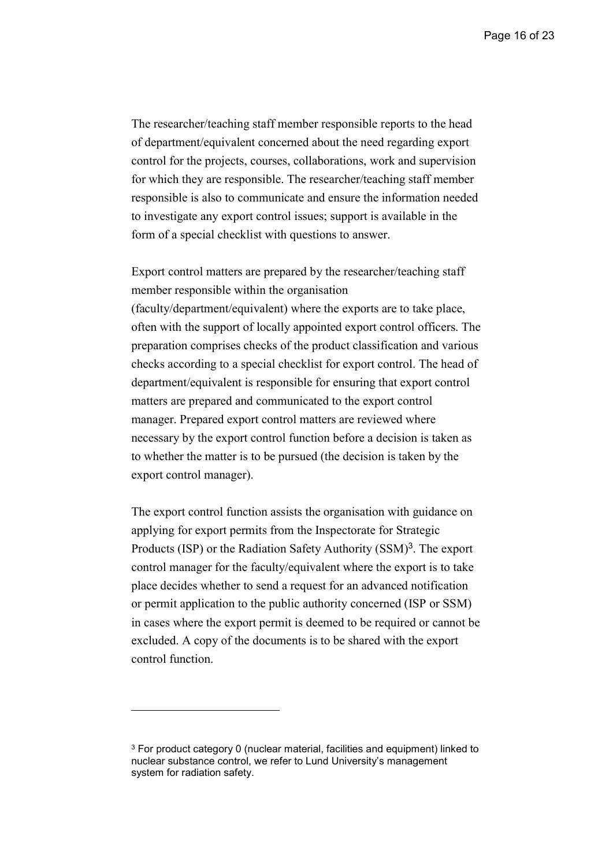Page 16 of 23

The researcher/teaching staff member responsible reports to the head of department/equivalent concerned about the need regarding export control for the projects, courses, collaborations, work and supervision for which they are responsible. The researcher/teaching staff member responsible is also to communicate and ensure the information needed to investigate any export control issues; support is available in the form of a special checklist with questions to answer.

Export control matters are prepared by the researcher/teaching staff member responsible within the organisation (faculty/department/equivalent) where the exports are to take place, often with the support of locally appointed export control officers. The preparation comprises checks of the product classification and various checks according to a special checklist for export control. The head of department/equivalent is responsible for ensuring that export control matters are prepared and communicated to the export control manager. Prepared export control matters are reviewed where necessary by the export control function before a decision is taken as to whether the matter is to be pursued (the decision is taken by the export control manager).

The export control function assists the organisation with guidance on applying for export permits from the Inspectorate for Strategic Products (ISP) or the Radiation Safety Authority (SSM)<sup>3</sup>. The export control manager for the faculty/equivalent where the export is to take place decides whether to send a request for an advanced notification or permit application to the public authority concerned (ISP or SSM) in cases where the export permit is deemed to be required or cannot be excluded. A copy of the documents is to be shared with the export control function.

-

<sup>3</sup> For product category 0 (nuclear material, facilities and equipment) linked to nuclear substance control, we refer to Lund University's management system for radiation safety.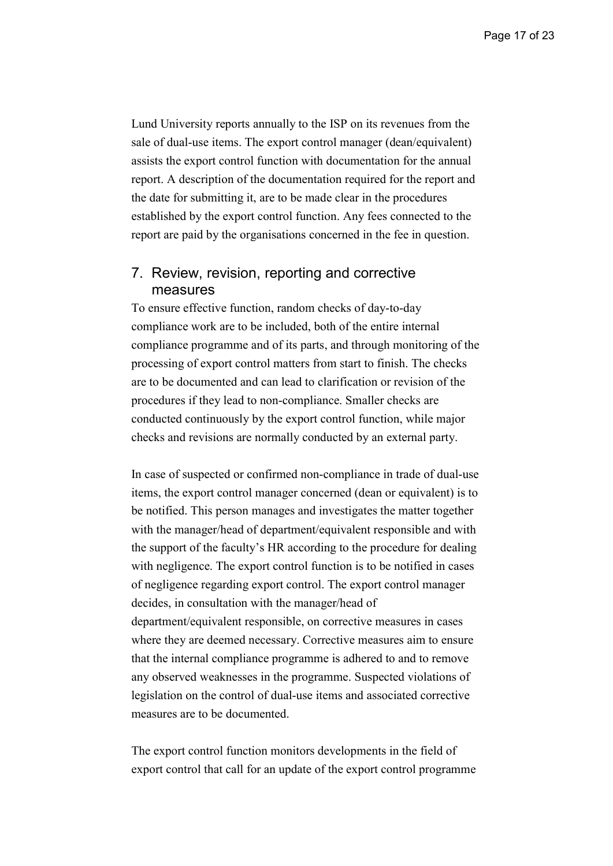Lund University reports annually to the ISP on its revenues from the sale of dual-use items. The export control manager (dean/equivalent) assists the export control function with documentation for the annual report. A description of the documentation required for the report and the date for submitting it, are to be made clear in the procedures established by the export control function. Any fees connected to the report are paid by the organisations concerned in the fee in question.

## 7. Review, revision, reporting and corrective measures

To ensure effective function, random checks of day-to-day compliance work are to be included, both of the entire internal compliance programme and of its parts, and through monitoring of the processing of export control matters from start to finish. The checks are to be documented and can lead to clarification or revision of the procedures if they lead to non-compliance. Smaller checks are conducted continuously by the export control function, while major checks and revisions are normally conducted by an external party.

In case of suspected or confirmed non-compliance in trade of dual-use items, the export control manager concerned (dean or equivalent) is to be notified. This person manages and investigates the matter together with the manager/head of department/equivalent responsible and with the support of the faculty's HR according to the procedure for dealing with negligence. The export control function is to be notified in cases of negligence regarding export control. The export control manager decides, in consultation with the manager/head of department/equivalent responsible, on corrective measures in cases where they are deemed necessary. Corrective measures aim to ensure that the internal compliance programme is adhered to and to remove any observed weaknesses in the programme. Suspected violations of legislation on the control of dual-use items and associated corrective measures are to be documented.

The export control function monitors developments in the field of export control that call for an update of the export control programme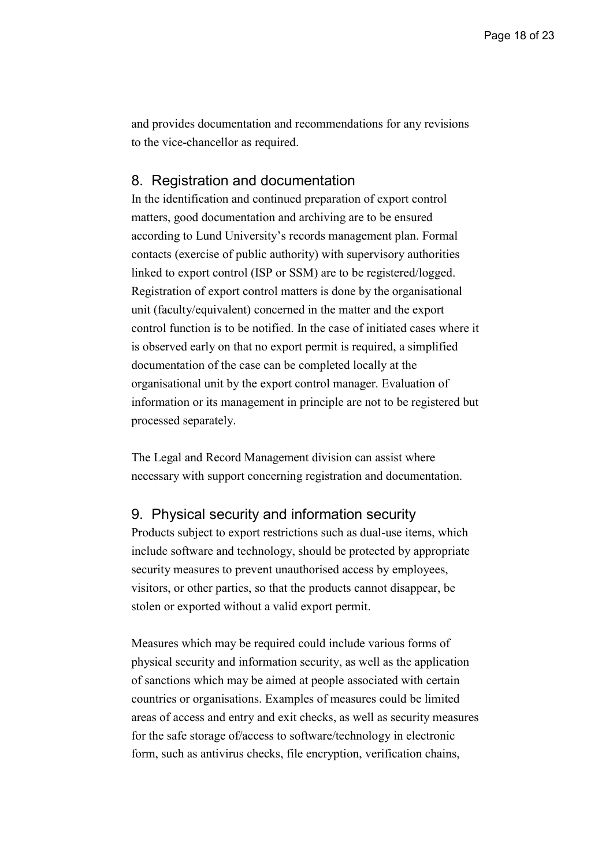and provides documentation and recommendations for any revisions to the vice-chancellor as required.

## 8. Registration and documentation

In the identification and continued preparation of export control matters, good documentation and archiving are to be ensured according to Lund University's records management plan. Formal contacts (exercise of public authority) with supervisory authorities linked to export control (ISP or SSM) are to be registered/logged. Registration of export control matters is done by the organisational unit (faculty/equivalent) concerned in the matter and the export control function is to be notified. In the case of initiated cases where it is observed early on that no export permit is required, a simplified documentation of the case can be completed locally at the organisational unit by the export control manager. Evaluation of information or its management in principle are not to be registered but processed separately.

The Legal and Record Management division can assist where necessary with support concerning registration and documentation.

## 9. Physical security and information security

Products subject to export restrictions such as dual-use items, which include software and technology, should be protected by appropriate security measures to prevent unauthorised access by employees, visitors, or other parties, so that the products cannot disappear, be stolen or exported without a valid export permit.

Measures which may be required could include various forms of physical security and information security, as well as the application of sanctions which may be aimed at people associated with certain countries or organisations. Examples of measures could be limited areas of access and entry and exit checks, as well as security measures for the safe storage of/access to software/technology in electronic form, such as antivirus checks, file encryption, verification chains,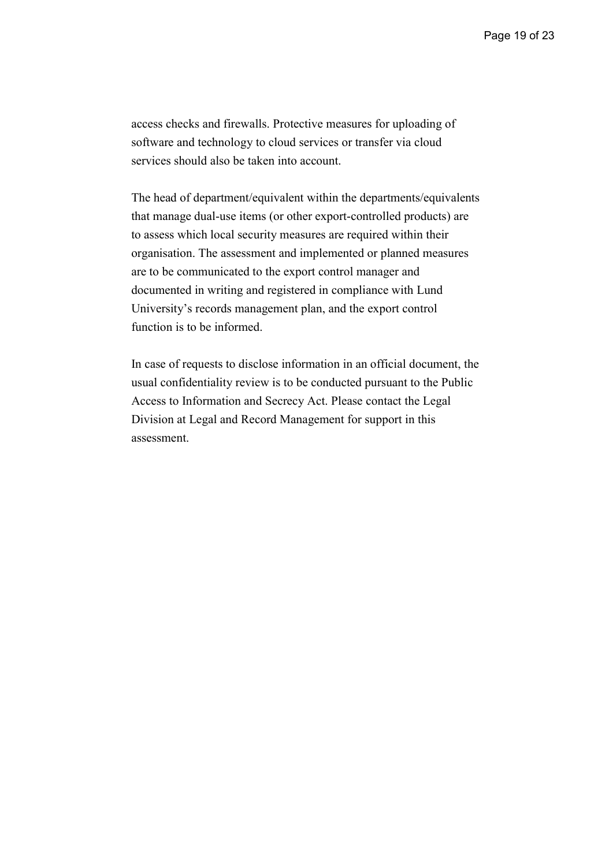access checks and firewalls. Protective measures for uploading of software and technology to cloud services or transfer via cloud services should also be taken into account.

The head of department/equivalent within the departments/equivalents that manage dual-use items (or other export-controlled products) are to assess which local security measures are required within their organisation. The assessment and implemented or planned measures are to be communicated to the export control manager and documented in writing and registered in compliance with Lund University's records management plan, and the export control function is to be informed.

In case of requests to disclose information in an official document, the usual confidentiality review is to be conducted pursuant to the Public Access to Information and Secrecy Act. Please contact the Legal Division at Legal and Record Management for support in this assessment.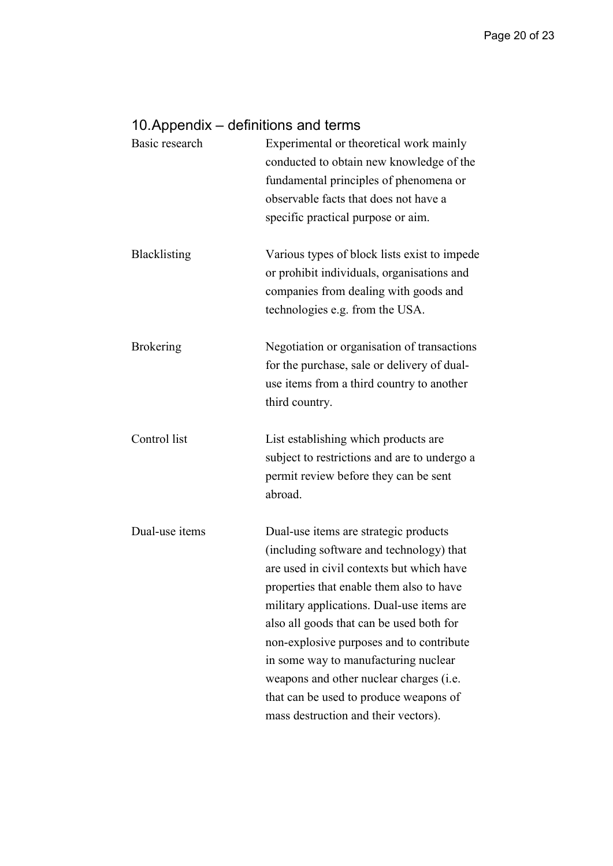## 10. Appendix – definitions and terms

| Basic research   | Experimental or theoretical work mainly<br>conducted to obtain new knowledge of the<br>fundamental principles of phenomena or<br>observable facts that does not have a<br>specific practical purpose or aim.                                                                                                                                                                                                                                                                         |
|------------------|--------------------------------------------------------------------------------------------------------------------------------------------------------------------------------------------------------------------------------------------------------------------------------------------------------------------------------------------------------------------------------------------------------------------------------------------------------------------------------------|
| Blacklisting     | Various types of block lists exist to impede<br>or prohibit individuals, organisations and<br>companies from dealing with goods and<br>technologies e.g. from the USA.                                                                                                                                                                                                                                                                                                               |
| <b>Brokering</b> | Negotiation or organisation of transactions<br>for the purchase, sale or delivery of dual-<br>use items from a third country to another<br>third country.                                                                                                                                                                                                                                                                                                                            |
| Control list     | List establishing which products are<br>subject to restrictions and are to undergo a<br>permit review before they can be sent<br>abroad.                                                                                                                                                                                                                                                                                                                                             |
| Dual-use items   | Dual-use items are strategic products<br>(including software and technology) that<br>are used in civil contexts but which have<br>properties that enable them also to have<br>military applications. Dual-use items are<br>also all goods that can be used both for<br>non-explosive purposes and to contribute<br>in some way to manufacturing nuclear<br>weapons and other nuclear charges (i.e.<br>that can be used to produce weapons of<br>mass destruction and their vectors). |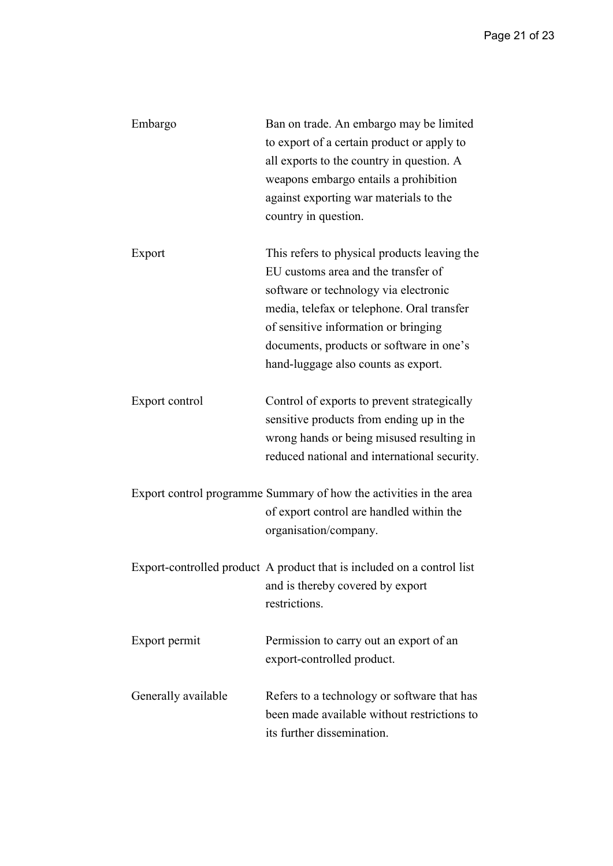| Embargo             | Ban on trade. An embargo may be limited                                |
|---------------------|------------------------------------------------------------------------|
|                     | to export of a certain product or apply to                             |
|                     | all exports to the country in question. A                              |
|                     | weapons embargo entails a prohibition                                  |
|                     | against exporting war materials to the                                 |
|                     | country in question.                                                   |
|                     |                                                                        |
| Export              | This refers to physical products leaving the                           |
|                     | EU customs area and the transfer of                                    |
|                     | software or technology via electronic                                  |
|                     | media, telefax or telephone. Oral transfer                             |
|                     | of sensitive information or bringing                                   |
|                     | documents, products or software in one's                               |
|                     | hand-luggage also counts as export.                                    |
|                     |                                                                        |
| Export control      | Control of exports to prevent strategically                            |
|                     | sensitive products from ending up in the                               |
|                     | wrong hands or being misused resulting in                              |
|                     | reduced national and international security.                           |
|                     |                                                                        |
|                     | Export control programme Summary of how the activities in the area     |
|                     | of export control are handled within the                               |
|                     | organisation/company.                                                  |
|                     |                                                                        |
|                     | Export-controlled product A product that is included on a control list |
|                     | and is thereby covered by export                                       |
|                     | restrictions.                                                          |
|                     |                                                                        |
| Export permit       | Permission to carry out an export of an                                |
|                     | export-controlled product.                                             |
|                     |                                                                        |
| Generally available | Refers to a technology or software that has                            |
|                     | been made available without restrictions to                            |
|                     | its further dissemination.                                             |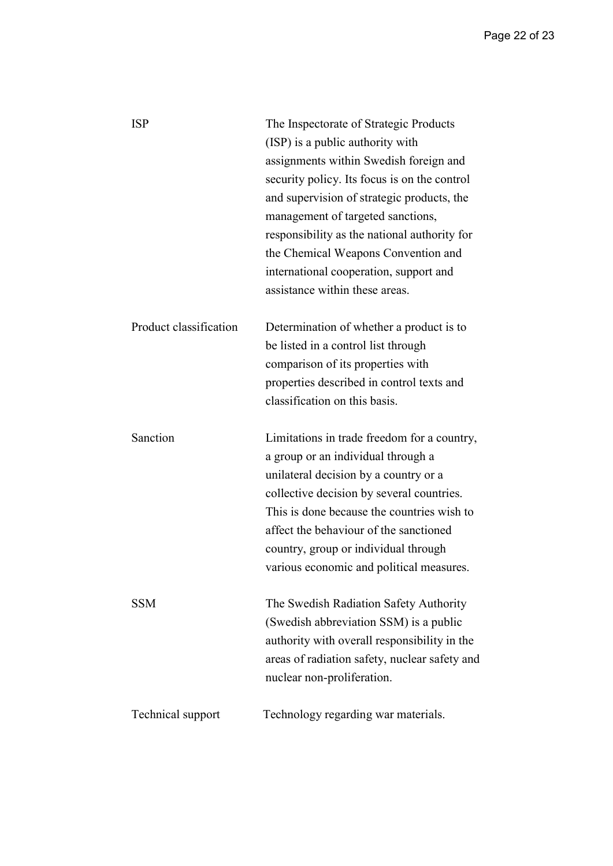| <b>ISP</b>             | The Inspectorate of Strategic Products        |
|------------------------|-----------------------------------------------|
|                        | (ISP) is a public authority with              |
|                        | assignments within Swedish foreign and        |
|                        | security policy. Its focus is on the control  |
|                        | and supervision of strategic products, the    |
|                        | management of targeted sanctions,             |
|                        | responsibility as the national authority for  |
|                        | the Chemical Weapons Convention and           |
|                        | international cooperation, support and        |
|                        | assistance within these areas.                |
|                        |                                               |
| Product classification | Determination of whether a product is to      |
|                        | be listed in a control list through           |
|                        | comparison of its properties with             |
|                        | properties described in control texts and     |
|                        | classification on this basis.                 |
|                        |                                               |
|                        |                                               |
| Sanction               | Limitations in trade freedom for a country,   |
|                        | a group or an individual through a            |
|                        | unilateral decision by a country or a         |
|                        | collective decision by several countries.     |
|                        | This is done because the countries wish to    |
|                        | affect the behaviour of the sanctioned        |
|                        | country, group or individual through          |
|                        | various economic and political measures.      |
|                        |                                               |
| <b>SSM</b>             | The Swedish Radiation Safety Authority        |
|                        | (Swedish abbreviation SSM) is a public        |
|                        | authority with overall responsibility in the  |
|                        | areas of radiation safety, nuclear safety and |
|                        | nuclear non-proliferation.                    |
| Technical support      | Technology regarding war materials.           |